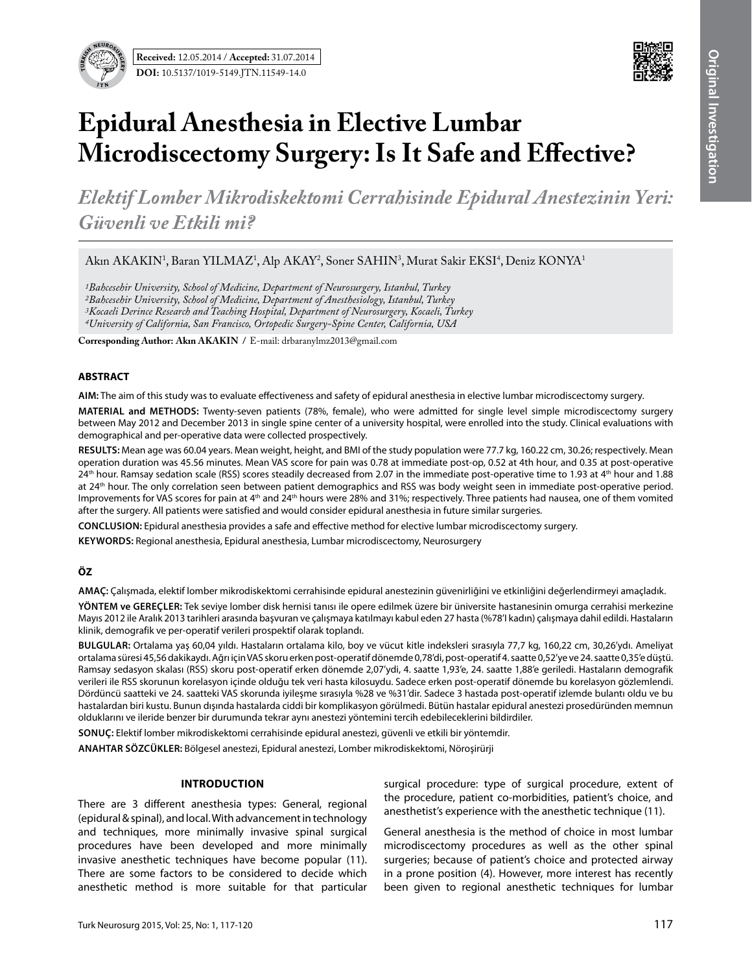

# **Epidural Anesthesia in Elective Lumbar Microdiscectomy Surgery: Is It Safe and Effective?**

*Elektif Lomber Mikrodiskektomi Cerrahisinde Epidural Anestezinin Yeri: Güvenli ve Etkili mi?*

Akın AKAKIN<sup>1</sup>, Baran YILMAZ<sup>1</sup>, Alp AKAY<sup>2</sup>, Soner SAHIN<sup>3</sup>, Murat Sakir EKSI<sup>4</sup>, Deniz KONYA<sup>1</sup>

*1Bahcesehir University, School of Medicine, Department of Neurosurgery, Istanbul, Turkey*

*2Bahcesehir University, School of Medicine, Department of Anesthesiology, Istanbul, Turkey*

*3Kocaeli Derince Research and Teaching Hospital, Department of Neurosurgery, Kocaeli, Turkey*

*4University of California, San Francisco, Ortopedic Surgery-Spine Center, California, USA*

**Corresponding Author: Akın Akakın /** E-mail: drbaranylmz2013@gmail.com

#### **ABSTRACT**

**AIm:** The aim of this study was to evaluate effectiveness and safety of epidural anesthesia in elective lumbar microdiscectomy surgery.

**MaterIal and Methods:** Twenty-seven patients (78%, female), who were admitted for single level simple microdiscectomy surgery between May 2012 and December 2013 in single spine center of a university hospital, were enrolled into the study. Clinical evaluations with demographical and per-operative data were collected prospectively.

**Results:** Mean age was 60.04 years. Mean weight, height, and BMI of the study population were 77.7 kg, 160.22 cm, 30.26; respectively. Mean operation duration was 45.56 minutes. Mean VAS score for pain was 0.78 at immediate post-op, 0.52 at 4th hour, and 0.35 at post-operative 24<sup>th</sup> hour. Ramsay sedation scale (RSS) scores steadily decreased from 2.07 in the immediate post-operative time to 1.93 at 4<sup>th</sup> hour and 1.88 at 24<sup>th</sup> hour. The only correlation seen between patient demographics and RSS was body weight seen in immediate post-operative period. Improvements for VAS scores for pain at 4<sup>th</sup> and 24<sup>th</sup> hours were 28% and 31%; respectively. Three patients had nausea, one of them vomited after the surgery. All patients were satisfied and would consider epidural anesthesia in future similar surgeries.

**ConclusIon:** Epidural anesthesia provides a safe and effective method for elective lumbar microdiscectomy surgery.

**Keywords:** Regional anesthesia, Epidural anesthesia, Lumbar microdiscectomy, Neurosurgery

## **ÖZ**

**AMAÇ:** Çalışmada, elektif lomber mikrodiskektomi cerrahisinde epidural anestezinin güvenirliğini ve etkinliğini değerlendirmeyi amaçladık.

**YÖNTEM ve GEREÇLER:** Tek seviye lomber disk hernisi tanısı ile opere edilmek üzere bir üniversite hastanesinin omurga cerrahisi merkezine Mayıs 2012 ile Aralık 2013 tarihleri arasında başvuran ve çalışmaya katılmayı kabul eden 27 hasta (%78'I kadın) çalışmaya dahil edildi. Hastaların klinik, demografik ve per-operatif verileri prospektif olarak toplandı.

**BULGULAR:** Ortalama yaş 60,04 yıldı. Hastaların ortalama kilo, boy ve vücut kitle indeksleri sırasıyla 77,7 kg, 160,22 cm, 30,26'ydı. Ameliyat ortalama süresi 45,56 dakikaydı. Ağrı için VAS skoru erken post-operatif dönemde 0,78'di, post-operatif 4. saatte 0,52'ye ve 24. saatte 0,35'e düştü. Ramsay sedasyon skalası (RSS) skoru post-operatif erken dönemde 2,07'ydi, 4. saatte 1,93'e, 24. saatte 1,88'e geriledi. Hastaların demografik verileri ile RSS skorunun korelasyon içinde olduğu tek veri hasta kilosuydu. Sadece erken post-operatif dönemde bu korelasyon gözlemlendi. Dördüncü saatteki ve 24. saatteki VAS skorunda iyileşme sırasıyla %28 ve %31'dir. Sadece 3 hastada post-operatif izlemde bulantı oldu ve bu hastalardan biri kustu. Bunun dışında hastalarda ciddi bir komplikasyon görülmedi. Bütün hastalar epidural anestezi prosedüründen memnun olduklarını ve ileride benzer bir durumunda tekrar aynı anestezi yöntemini tercih edebileceklerini bildirdiler.

**SONUÇ:** Elektif lomber mikrodiskektomi cerrahisinde epidural anestezi, güvenli ve etkili bir yöntemdir.

**ANAHTAR SÖZCÜKLER:** Bölgesel anestezi, Epidural anestezi, Lomber mikrodiskektomi, Nöroşirürji

## **Introduction**

There are 3 different anesthesia types: General, regional (epidural & spinal), and local. With advancement in technology and techniques, more minimally invasive spinal surgical procedures have been developed and more minimally invasive anesthetic techniques have become popular (11). There are some factors to be considered to decide which anesthetic method is more suitable for that particular

surgical procedure: type of surgical procedure, extent of the procedure, patient co-morbidities, patient's choice, and anesthetist's experience with the anesthetic technique (11).

General anesthesia is the method of choice in most lumbar microdiscectomy procedures as well as the other spinal surgeries; because of patient's choice and protected airway in a prone position (4). However, more interest has recently been given to regional anesthetic techniques for lumbar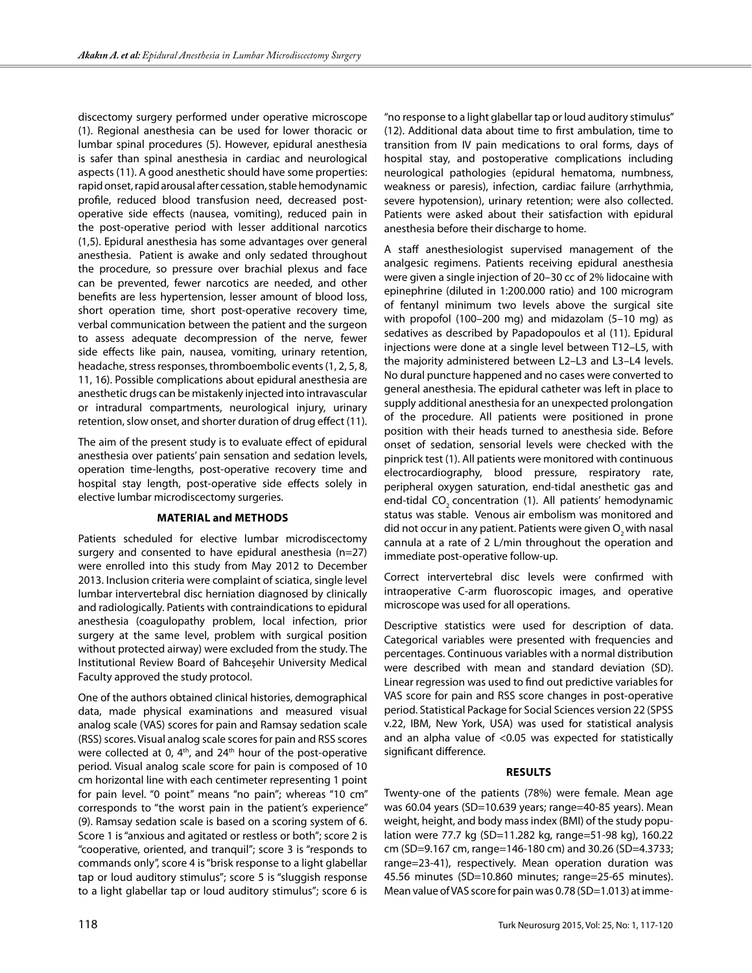discectomy surgery performed under operative microscope (1). Regional anesthesia can be used for lower thoracic or lumbar spinal procedures (5). However, epidural anesthesia is safer than spinal anesthesia in cardiac and neurological aspects (11). A good anesthetic should have some properties: rapid onset, rapid arousal after cessation, stable hemodynamic profile, reduced blood transfusion need, decreased postoperative side effects (nausea, vomiting), reduced pain in the post-operative period with lesser additional narcotics (1,5). Epidural anesthesia has some advantages over general anesthesia. Patient is awake and only sedated throughout the procedure, so pressure over brachial plexus and face can be prevented, fewer narcotics are needed, and other benefits are less hypertension, lesser amount of blood loss, short operation time, short post-operative recovery time, verbal communication between the patient and the surgeon to assess adequate decompression of the nerve, fewer side effects like pain, nausea, vomiting, urinary retention, headache, stress responses, thromboembolic events (1, 2, 5, 8, 11, 16). Possible complications about epidural anesthesia are anesthetic drugs can be mistakenly injected into intravascular or intradural compartments, neurological injury, urinary retention, slow onset, and shorter duration of drug effect (11).

The aim of the present study is to evaluate effect of epidural anesthesia over patients' pain sensation and sedation levels, operation time-lengths, post-operative recovery time and hospital stay length, post-operative side effects solely in elective lumbar microdiscectomy surgeries.

## **Material and Methods**

Patients scheduled for elective lumbar microdiscectomy surgery and consented to have epidural anesthesia (n=27) were enrolled into this study from May 2012 to December 2013. Inclusion criteria were complaint of sciatica, single level lumbar intervertebral disc herniation diagnosed by clinically and radiologically. Patients with contraindications to epidural anesthesia (coagulopathy problem, local infection, prior surgery at the same level, problem with surgical position without protected airway) were excluded from the study. The Institutional Review Board of Bahceşehir University Medical Faculty approved the study protocol.

One of the authors obtained clinical histories, demographical data, made physical examinations and measured visual analog scale (VAS) scores for pain and Ramsay sedation scale (RSS) scores. Visual analog scale scores for pain and RSS scores were collected at 0,  $4<sup>th</sup>$ , and  $24<sup>th</sup>$  hour of the post-operative period. Visual analog scale score for pain is composed of 10 cm horizontal line with each centimeter representing 1 point for pain level. "0 point" means "no pain"; whereas "10 cm" corresponds to "the worst pain in the patient's experience" (9). Ramsay sedation scale is based on a scoring system of 6. Score 1 is "anxious and agitated or restless or both"; score 2 is "cooperative, oriented, and tranquil"; score 3 is "responds to commands only", score 4 is "brisk response to a light glabellar tap or loud auditory stimulus"; score 5 is "sluggish response to a light glabellar tap or loud auditory stimulus"; score 6 is

"no response to a light glabellar tap or loud auditory stimulus" (12). Additional data about time to first ambulation, time to transition from IV pain medications to oral forms, days of hospital stay, and postoperative complications including neurological pathologies (epidural hematoma, numbness, weakness or paresis), infection, cardiac failure (arrhythmia, severe hypotension), urinary retention; were also collected. Patients were asked about their satisfaction with epidural anesthesia before their discharge to home.

A staff anesthesiologist supervised management of the analgesic regimens. Patients receiving epidural anesthesia were given a single injection of 20–30 cc of 2% lidocaine with epinephrine (diluted in 1:200.000 ratio) and 100 microgram of fentanyl minimum two levels above the surgical site with propofol (100–200 mg) and midazolam (5–10 mg) as sedatives as described by Papadopoulos et al (11). Epidural injections were done at a single level between T12–L5, with the majority administered between L2–L3 and L3–L4 levels. No dural puncture happened and no cases were converted to general anesthesia. The epidural catheter was left in place to supply additional anesthesia for an unexpected prolongation of the procedure. All patients were positioned in prone position with their heads turned to anesthesia side. Before onset of sedation, sensorial levels were checked with the pinprick test (1). All patients were monitored with continuous electrocardiography, blood pressure, respiratory rate, peripheral oxygen saturation, end-tidal anesthetic gas and end-tidal CO<sub>2</sub> concentration (1). All patients' hemodynamic status was stable. Venous air embolism was monitored and did not occur in any patient. Patients were given  $O<sub>2</sub>$  with nasal cannula at a rate of 2 L/min throughout the operation and immediate post-operative follow-up.

Correct intervertebral disc levels were confirmed with intraoperative C-arm fluoroscopic images, and operative microscope was used for all operations.

Descriptive statistics were used for description of data. Categorical variables were presented with frequencies and percentages. Continuous variables with a normal distribution were described with mean and standard deviation (SD). Linear regression was used to find out predictive variables for VAS score for pain and RSS score changes in post-operative period. Statistical Package for Social Sciences version 22 (SPSS v.22, IBM, New York, USA) was used for statistical analysis and an alpha value of <0.05 was expected for statistically significant difference.

## **Results**

Twenty-one of the patients (78%) were female. Mean age was 60.04 years (SD=10.639 years; range=40-85 years). Mean weight, height, and body mass index (BMI) of the study population were 77.7 kg (SD=11.282 kg, range=51-98 kg), 160.22 cm (SD=9.167 cm, range=146-180 cm) and 30.26 (SD=4.3733; range=23-41), respectively. Mean operation duration was 45.56 minutes (SD=10.860 minutes; range=25-65 minutes). Mean value of VAS score for pain was 0.78 (SD=1.013) at imme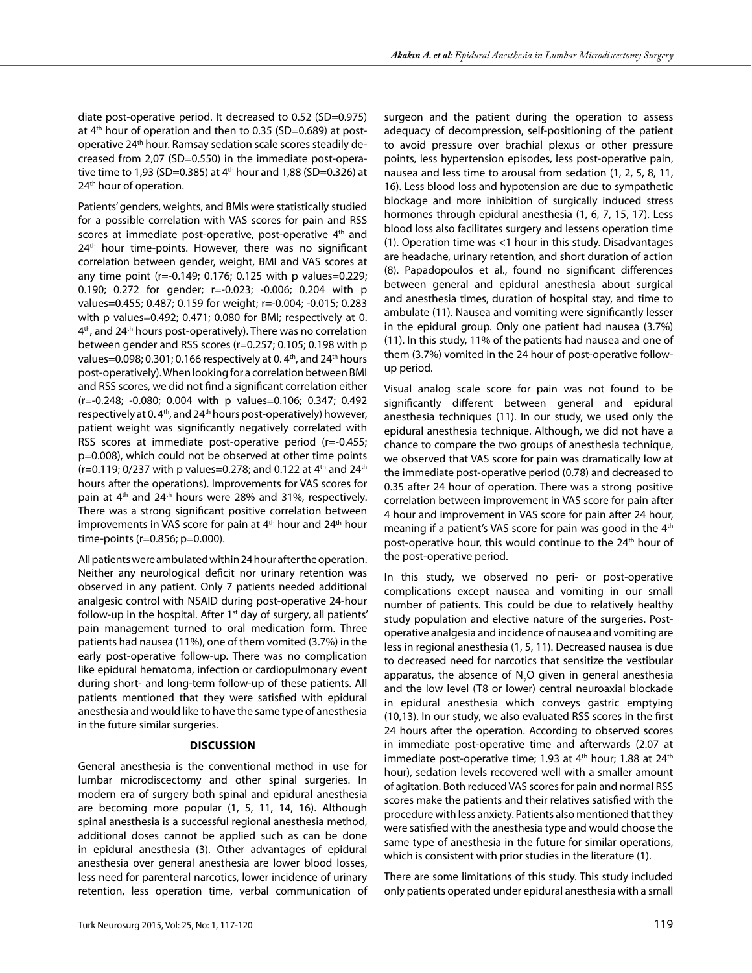diate post-operative period. It decreased to 0.52 (SD=0.975) at 4<sup>th</sup> hour of operation and then to 0.35 (SD=0.689) at postoperative 24<sup>th</sup> hour. Ramsay sedation scale scores steadily decreased from 2,07 (SD=0.550) in the immediate post-operative time to 1,93 (SD=0.385) at  $4<sup>th</sup>$  hour and 1,88 (SD=0.326) at 24<sup>th</sup> hour of operation.

Patients' genders, weights, and BMIs were statistically studied for a possible correlation with VAS scores for pain and RSS scores at immediate post-operative, post-operative  $4<sup>th</sup>$  and 24<sup>th</sup> hour time-points. However, there was no significant correlation between gender, weight, BMI and VAS scores at any time point (r=-0.149; 0.176; 0.125 with p values=0.229; 0.190; 0.272 for gender; r=-0.023; -0.006; 0.204 with p values=0.455; 0.487; 0.159 for weight; r=-0.004; -0.015; 0.283 with p values=0.492; 0.471; 0.080 for BMI; respectively at 0. 4<sup>th</sup>, and 24<sup>th</sup> hours post-operatively). There was no correlation between gender and RSS scores (r=0.257; 0.105; 0.198 with p values=0.098; 0.301; 0.166 respectively at 0.4<sup>th</sup>, and 24<sup>th</sup> hours post-operatively). When looking for a correlation between BMI and RSS scores, we did not find a significant correlation either (r=-0.248; -0.080; 0.004 with p values=0.106; 0.347; 0.492 respectively at 0.4<sup>th</sup>, and 24<sup>th</sup> hours post-operatively) however, patient weight was significantly negatively correlated with RSS scores at immediate post-operative period (r=-0.455; p=0.008), which could not be observed at other time points  $(r=0.119; 0/237$  with p values=0.278; and 0.122 at 4<sup>th</sup> and 24<sup>th</sup> hours after the operations). Improvements for VAS scores for pain at 4<sup>th</sup> and 24<sup>th</sup> hours were 28% and 31%, respectively. There was a strong significant positive correlation between improvements in VAS score for pain at  $4<sup>th</sup>$  hour and  $24<sup>th</sup>$  hour time-points (r=0.856; p=0.000).

All patients were ambulated within 24 hour after the operation. Neither any neurological deficit nor urinary retention was observed in any patient. Only 7 patients needed additional analgesic control with NSAID during post-operative 24-hour follow-up in the hospital. After  $1<sup>st</sup>$  day of surgery, all patients' pain management turned to oral medication form. Three patients had nausea (11%), one of them vomited (3.7%) in the early post-operative follow-up. There was no complication like epidural hematoma, infection or cardiopulmonary event during short- and long-term follow-up of these patients. All patients mentioned that they were satisfied with epidural anesthesia and would like to have the same type of anesthesia in the future similar surgeries.

## **Discussion**

General anesthesia is the conventional method in use for lumbar microdiscectomy and other spinal surgeries. In modern era of surgery both spinal and epidural anesthesia are becoming more popular (1, 5, 11, 14, 16). Although spinal anesthesia is a successful regional anesthesia method, additional doses cannot be applied such as can be done in epidural anesthesia (3). Other advantages of epidural anesthesia over general anesthesia are lower blood losses, less need for parenteral narcotics, lower incidence of urinary retention, less operation time, verbal communication of

surgeon and the patient during the operation to assess adequacy of decompression, self-positioning of the patient to avoid pressure over brachial plexus or other pressure points, less hypertension episodes, less post-operative pain, nausea and less time to arousal from sedation (1, 2, 5, 8, 11, 16). Less blood loss and hypotension are due to sympathetic blockage and more inhibition of surgically induced stress hormones through epidural anesthesia (1, 6, 7, 15, 17). Less blood loss also facilitates surgery and lessens operation time (1). Operation time was <1 hour in this study. Disadvantages are headache, urinary retention, and short duration of action (8). Papadopoulos et al., found no significant differences between general and epidural anesthesia about surgical and anesthesia times, duration of hospital stay, and time to ambulate (11). Nausea and vomiting were significantly lesser in the epidural group. Only one patient had nausea (3.7%) (11). In this study, 11% of the patients had nausea and one of them (3.7%) vomited in the 24 hour of post-operative followup period.

Visual analog scale score for pain was not found to be significantly different between general and epidural anesthesia techniques (11). In our study, we used only the epidural anesthesia technique. Although, we did not have a chance to compare the two groups of anesthesia technique, we observed that VAS score for pain was dramatically low at the immediate post-operative period (0.78) and decreased to 0.35 after 24 hour of operation. There was a strong positive correlation between improvement in VAS score for pain after 4 hour and improvement in VAS score for pain after 24 hour, meaning if a patient's VAS score for pain was good in the 4<sup>th</sup> post-operative hour, this would continue to the 24<sup>th</sup> hour of the post-operative period.

In this study, we observed no peri- or post-operative complications except nausea and vomiting in our small number of patients. This could be due to relatively healthy study population and elective nature of the surgeries. Postoperative analgesia and incidence of nausea and vomiting are less in regional anesthesia (1, 5, 11). Decreased nausea is due to decreased need for narcotics that sensitize the vestibular apparatus, the absence of  $N_{2}$ O given in general anesthesia and the low level (T8 or lower) central neuroaxial blockade in epidural anesthesia which conveys gastric emptying (10,13). In our study, we also evaluated RSS scores in the first 24 hours after the operation. According to observed scores in immediate post-operative time and afterwards (2.07 at immediate post-operative time; 1.93 at  $4<sup>th</sup>$  hour; 1.88 at  $24<sup>th</sup>$ hour), sedation levels recovered well with a smaller amount of agitation. Both reduced VAS scores for pain and normal RSS scores make the patients and their relatives satisfied with the procedure with less anxiety. Patients also mentioned that they were satisfied with the anesthesia type and would choose the same type of anesthesia in the future for similar operations, which is consistent with prior studies in the literature (1).

There are some limitations of this study. This study included only patients operated under epidural anesthesia with a small